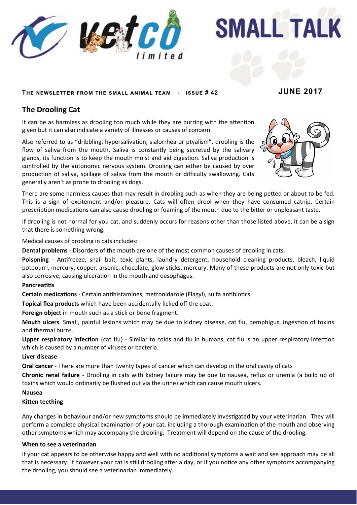

**SMALL TALK** 

# **The newsletter from the small animal team - issue # 42 JUNE 2017**

# **The Drooling Cat**

It can be as harmless as drooling too much while they are purring with the attention given but it can also indicate a variety of illnesses or causes of concern.

Also referred to as "dribbling, hypersalivation, sialorrhea or ptyalism", drooling is the flow of saliva from the mouth. Saliva is constantly being secreted by the salivary glands, its function is to keep the mouth moist and aid digestion. Saliva production is controlled by the autonomic nervous system. Drooling can either be caused by over production of saliva, spillage of saliva from the mouth or difficulty swallowing. Cats generally aren't as prone to drooling as dogs.



There are some harmless causes that may result in drooling such as when they are being petted or about to be fed. This is a sign of excitement and/or pleasure. Cats will often drool when they have consumed catnip. Certain prescription medications can also cause drooling or foaming of the mouth due to the bitter or unpleasant taste.

If drooling is not normal for you cat, and suddenly occurs for reasons other than those listed above, it can be a sign that there is something wrong.

Medical causes of drooling in cats includes:

**Dental problems** - Disorders of the mouth are one of the most common causes of drooling in cats.

**Poisoning** - Antifreeze, snail bait, toxic plants, laundry detergent, household cleaning products, bleach, liquid potpourri, mercury, copper, arsenic, chocolate, glow sticks, mercury. Many of these products are not only toxic but also corrosive, causing ulceration in the mouth and oesophagus.

### **Pancreatitis**

**Certain medications** - Certain antihistamines, metronidazole (Flagyl), sulfa antibiotics.

**Topical flea products** which have been accidentally licked off the coat.

**Foreign object** in mouth such as a stick or bone fragment.

**Mouth ulcers**. Small, painful lesions which may be due to kidney disease, cat flu, pemphigus, ingestion of toxins and thermal burns.

**Upper respiratory infection** (cat flu) - Similar to colds and flu in humans, cat flu is an upper respiratory infection which is caused by a number of viruses or bacteria.

### **Liver disease**

**Oral cancer** - There are more than twenty types of cancer which can develop in the oral cavity of cats

**Chronic renal failure** - Drooling in cats with kidney failure may be due to nausea, reflux or uremia (a build up of toxins which would ordinarily be flushed out via the urine) which can cause mouth ulcers.

#### **Nausea**

#### **Kitten teething**

Any changes in behaviour and/or new symptoms should be immediately investigated by your veterinarian. They will perform a complete physical examination of your cat, including a thorough examination of the mouth and observing other symptoms which may accompany the drooling. Treatment will depend on the cause of the drooling.

### **When to see a veterinarian**

If your cat appears to be otherwise happy and well with no additional symptoms a wait and see approach may be all that is necessary. If however your cat is still drooling after a day, or if you notice any other symptoms accompanying the drooling, you should see a veterinarian immediately.